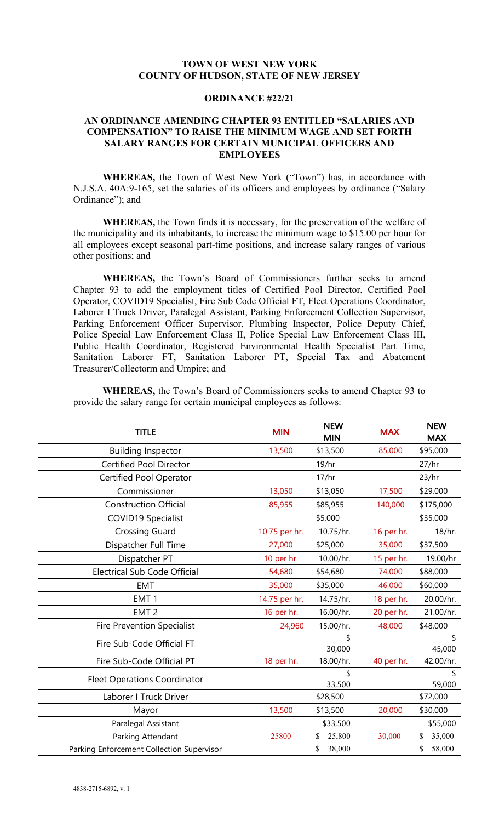## **TOWN OF WEST NEW YORK COUNTY OF HUDSON, STATE OF NEW JERSEY**

### **ORDINANCE #22/21**

## **AN ORDINANCE AMENDING CHAPTER 93 ENTITLED "SALARIES AND COMPENSATION" TO RAISE THE MINIMUM WAGE AND SET FORTH SALARY RANGES FOR CERTAIN MUNICIPAL OFFICERS AND EMPLOYEES**

**WHEREAS,** the Town of West New York ("Town") has, in accordance with N.J.S.A. 40A:9-165, set the salaries of its officers and employees by ordinance ("Salary Ordinance"); and

**WHEREAS,** the Town finds it is necessary, for the preservation of the welfare of the municipality and its inhabitants, to increase the minimum wage to \$15.00 per hour for all employees except seasonal part-time positions, and increase salary ranges of various other positions; and

**WHEREAS,** the Town's Board of Commissioners further seeks to amend Chapter 93 to add the employment titles of Certified Pool Director, Certified Pool Operator, COVID19 Specialist, Fire Sub Code Official FT, Fleet Operations Coordinator, Laborer I Truck Driver, Paralegal Assistant, Parking Enforcement Collection Supervisor, Parking Enforcement Officer Supervisor, Plumbing Inspector, Police Deputy Chief, Police Special Law Enforcement Class II, Police Special Law Enforcement Class III, Public Health Coordinator, Registered Environmental Health Specialist Part Time, Sanitation Laborer FT, Sanitation Laborer PT, Special Tax and Abatement Treasurer/Collectorm and Umpire; and

**WHEREAS,** the Town's Board of Commissioners seeks to amend Chapter 93 to provide the salary range for certain municipal employees as follows:

| <b>TITLE</b>                              | <b>MIN</b>    | <b>NEW</b><br><b>MIN</b> | <b>MAX</b> | <b>NEW</b><br><b>MAX</b> |
|-------------------------------------------|---------------|--------------------------|------------|--------------------------|
| <b>Building Inspector</b>                 | 13,500        | \$13,500                 | 85,000     | \$95,000                 |
| <b>Certified Pool Director</b>            |               | 19/hr                    |            | 27/hr                    |
| <b>Certified Pool Operator</b>            |               | 17/hr                    |            | 23/hr                    |
| Commissioner                              | 13,050        | \$13,050                 | 17,500     | \$29,000                 |
| <b>Construction Official</b>              | 85,955        | \$85,955                 | 140,000    | \$175,000                |
| <b>COVID19 Specialist</b>                 |               | \$5,000                  |            | \$35,000                 |
| <b>Crossing Guard</b>                     | 10.75 per hr. | 10.75/hr.                | 16 per hr. | 18/hr.                   |
| Dispatcher Full Time                      | 27,000        | \$25,000                 | 35,000     | \$37,500                 |
| Dispatcher PT                             | 10 per hr.    | 10.00/hr.                | 15 per hr. | 19.00/hr                 |
| <b>Electrical Sub Code Official</b>       | 54,680        | \$54,680                 | 74,000     | \$88,000                 |
| <b>EMT</b>                                | 35,000        | \$35,000                 | 46,000     | \$60,000                 |
| EMT <sub>1</sub>                          | 14.75 per hr. | 14.75/hr.                | 18 per hr. | 20.00/hr.                |
| EMT <sub>2</sub>                          | 16 per hr.    | 16.00/hr.                | 20 per hr. | 21.00/hr.                |
| <b>Fire Prevention Specialist</b>         | 24,960        | 15.00/hr.                | 48,000     | \$48,000                 |
| Fire Sub-Code Official FT                 |               | \$<br>30,000             |            | \$<br>45,000             |
| Fire Sub-Code Official PT                 | 18 per hr.    | 18.00/hr.                | 40 per hr. | 42.00/hr.                |
| <b>Fleet Operations Coordinator</b>       |               | \$<br>33,500             |            | \$<br>59,000             |
| Laborer I Truck Driver                    |               | \$28,500                 |            | \$72,000                 |
| Mayor                                     | 13,500        | \$13,500                 | 20,000     | \$30,000                 |
| Paralegal Assistant                       |               | \$33,500                 |            | \$55,000                 |
| Parking Attendant                         | 25800         | \$<br>25,800             | 30,000     | \$<br>35,000             |
| Parking Enforcement Collection Supervisor |               | \$<br>38,000             |            | 58,000<br>\$             |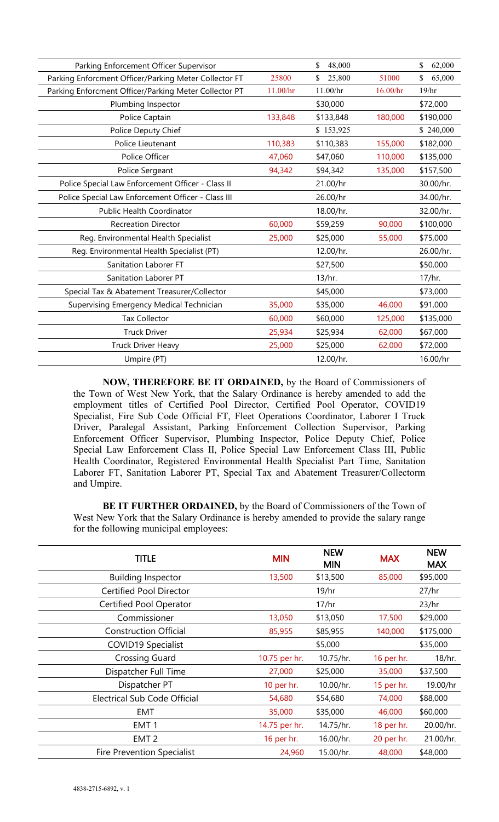| Parking Enforcement Officer Supervisor                |          | \$<br>48,000 |          | \$<br>62,000 |
|-------------------------------------------------------|----------|--------------|----------|--------------|
| Parking Enforcment Officer/Parking Meter Collector FT | 25800    | 25,800       | 51000    | \$<br>65,000 |
| Parking Enforcment Officer/Parking Meter Collector PT | 11.00/hr | 11.00/hr     | 16.00/hr | 19/hr        |
| Plumbing Inspector                                    |          | \$30,000     |          | \$72,000     |
| Police Captain                                        | 133,848  | \$133,848    | 180,000  | \$190,000    |
| Police Deputy Chief                                   |          | \$153,925    |          | \$240,000    |
| Police Lieutenant                                     | 110,383  | \$110,383    | 155,000  | \$182,000    |
| Police Officer                                        | 47,060   | \$47,060     | 110,000  | \$135,000    |
| Police Sergeant                                       | 94,342   | \$94,342     | 135,000  | \$157,500    |
| Police Special Law Enforcement Officer - Class II     |          | 21.00/hr     |          | 30.00/hr.    |
| Police Special Law Enforcement Officer - Class III    |          | 26.00/hr     |          | 34.00/hr.    |
| <b>Public Health Coordinator</b>                      |          | 18.00/hr.    |          | 32.00/hr.    |
| <b>Recreation Director</b>                            | 60,000   | \$59,259     | 90,000   | \$100,000    |
| Reg. Environmental Health Specialist                  | 25,000   | \$25,000     | 55,000   | \$75,000     |
| Reg. Environmental Health Specialist (PT)             |          | 12.00/hr.    |          | 26.00/hr.    |
| Sanitation Laborer FT                                 |          | \$27,500     |          | \$50,000     |
| Sanitation Laborer PT                                 |          | 13/hr.       |          | 17/hr.       |
| Special Tax & Abatement Treasurer/Collector           |          | \$45,000     |          | \$73,000     |
| Supervising Emergency Medical Technician              | 35,000   | \$35,000     | 46,000   | \$91,000     |
| <b>Tax Collector</b>                                  | 60,000   | \$60,000     | 125,000  | \$135,000    |
| <b>Truck Driver</b>                                   | 25,934   | \$25,934     | 62,000   | \$67,000     |
| <b>Truck Driver Heavy</b>                             | 25,000   | \$25,000     | 62,000   | \$72,000     |
| Umpire (PT)                                           |          | 12.00/hr.    |          | 16.00/hr     |
|                                                       |          |              |          |              |

**NOW, THEREFORE BE IT ORDAINED,** by the Board of Commissioners of the Town of West New York, that the Salary Ordinance is hereby amended to add the employment titles of Certified Pool Director, Certified Pool Operator, COVID19 Specialist, Fire Sub Code Official FT, Fleet Operations Coordinator, Laborer I Truck Driver, Paralegal Assistant, Parking Enforcement Collection Supervisor, Parking Enforcement Officer Supervisor, Plumbing Inspector, Police Deputy Chief, Police Special Law Enforcement Class II, Police Special Law Enforcement Class III, Public Health Coordinator, Registered Environmental Health Specialist Part Time, Sanitation Laborer FT, Sanitation Laborer PT, Special Tax and Abatement Treasurer/Collectorm and Umpire.

**BE IT FURTHER ORDAINED,** by the Board of Commissioners of the Town of West New York that the Salary Ordinance is hereby amended to provide the salary range for the following municipal employees:

| <b>TITLE</b>                      | <b>MIN</b>    | <b>NEW</b><br><b>MIN</b> | <b>MAX</b> | <b>NEW</b><br><b>MAX</b> |
|-----------------------------------|---------------|--------------------------|------------|--------------------------|
| <b>Building Inspector</b>         | 13,500        | \$13,500                 | 85,000     | \$95,000                 |
| <b>Certified Pool Director</b>    |               | 19/hr                    |            | 27/hr                    |
| <b>Certified Pool Operator</b>    |               | 17/hr                    |            | 23/hr                    |
| Commissioner                      | 13,050        | \$13,050                 | 17,500     | \$29,000                 |
| <b>Construction Official</b>      | 85,955        | \$85,955                 | 140,000    | \$175,000                |
| <b>COVID19 Specialist</b>         |               | \$5,000                  |            | \$35,000                 |
| <b>Crossing Guard</b>             | 10.75 per hr. | 10.75/hr.                | 16 per hr. | 18/hr.                   |
| Dispatcher Full Time              | 27,000        | \$25,000                 | 35,000     | \$37,500                 |
| Dispatcher PT                     | 10 per hr.    | 10.00/hr.                | 15 per hr. | 19.00/hr                 |
| Electrical Sub Code Official      | 54,680        | \$54,680                 | 74,000     | \$88,000                 |
| <b>EMT</b>                        | 35,000        | \$35,000                 | 46,000     | \$60,000                 |
| EMT <sub>1</sub>                  | 14.75 per hr. | 14.75/hr.                | 18 per hr. | 20.00/hr.                |
| EMT <sub>2</sub>                  | 16 per hr.    | 16.00/hr.                | 20 per hr. | 21.00/hr.                |
| <b>Fire Prevention Specialist</b> | 24,960        | 15.00/hr.                | 48,000     | \$48,000                 |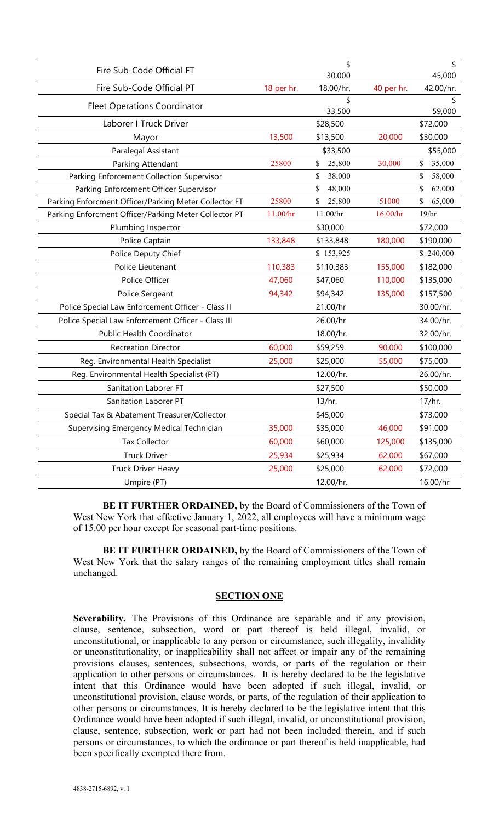| Fire Sub-Code Official FT                             |            | \$<br>30,000 |            | \$<br>45,000 |
|-------------------------------------------------------|------------|--------------|------------|--------------|
| Fire Sub-Code Official PT                             | 18 per hr. | 18.00/hr.    | 40 per hr. | 42.00/hr.    |
| <b>Fleet Operations Coordinator</b>                   |            | \$<br>33,500 |            | \$<br>59,000 |
| Laborer I Truck Driver                                |            | \$28,500     |            | \$72,000     |
| Mayor                                                 | 13,500     | \$13,500     | 20,000     | \$30,000     |
| Paralegal Assistant                                   |            | \$33,500     |            | \$55,000     |
| Parking Attendant                                     | 25800      | \$<br>25,800 | 30,000     | \$<br>35,000 |
| Parking Enforcement Collection Supervisor             |            | 38,000<br>\$ |            | \$<br>58,000 |
| Parking Enforcement Officer Supervisor                |            | \$<br>48,000 |            | \$<br>62,000 |
| Parking Enforcment Officer/Parking Meter Collector FT | 25800      | \$<br>25,800 | 51000      | \$<br>65,000 |
| Parking Enforcment Officer/Parking Meter Collector PT | 11.00/hr   | 11.00/hr     | 16.00/hr   | 19/hr        |
| Plumbing Inspector                                    |            | \$30,000     |            | \$72,000     |
| Police Captain                                        | 133,848    | \$133,848    | 180,000    | \$190,000    |
| Police Deputy Chief                                   |            | \$153,925    |            | \$240,000    |
| Police Lieutenant                                     | 110,383    | \$110,383    | 155,000    | \$182,000    |
| Police Officer                                        | 47,060     | \$47,060     | 110,000    | \$135,000    |
| Police Sergeant                                       | 94,342     | \$94,342     | 135,000    | \$157,500    |
| Police Special Law Enforcement Officer - Class II     |            | 21.00/hr     |            | 30.00/hr.    |
| Police Special Law Enforcement Officer - Class III    |            | 26.00/hr     |            | 34.00/hr.    |
| Public Health Coordinator                             |            | 18.00/hr.    |            | 32.00/hr.    |
| <b>Recreation Director</b>                            | 60,000     | \$59,259     | 90,000     | \$100,000    |
| Reg. Environmental Health Specialist                  | 25,000     | \$25,000     | 55,000     | \$75,000     |
| Reg. Environmental Health Specialist (PT)             |            | 12.00/hr.    |            | 26.00/hr.    |
| Sanitation Laborer FT                                 |            | \$27,500     |            | \$50,000     |
| Sanitation Laborer PT                                 |            | 13/hr.       |            | 17/hr.       |
| Special Tax & Abatement Treasurer/Collector           |            | \$45,000     |            | \$73,000     |
| Supervising Emergency Medical Technician              | 35,000     | \$35,000     | 46,000     | \$91,000     |
| Tax Collector                                         | 60,000     | \$60,000     | 125,000    | \$135,000    |
| <b>Truck Driver</b>                                   | 25,934     | \$25,934     | 62,000     | \$67,000     |
| <b>Truck Driver Heavy</b>                             | 25,000     | \$25,000     | 62,000     | \$72,000     |
| Umpire (PT)                                           |            | 12.00/hr.    |            | 16.00/hr     |
|                                                       |            |              |            |              |

**BE IT FURTHER ORDAINED,** by the Board of Commissioners of the Town of West New York that effective January 1, 2022, all employees will have a minimum wage of 15.00 per hour except for seasonal part-time positions.

**BE IT FURTHER ORDAINED,** by the Board of Commissioners of the Town of West New York that the salary ranges of the remaining employment titles shall remain unchanged.

## **SECTION ONE**

**Severability.** The Provisions of this Ordinance are separable and if any provision, clause, sentence, subsection, word or part thereof is held illegal, invalid, or unconstitutional, or inapplicable to any person or circumstance, such illegality, invalidity or unconstitutionality, or inapplicability shall not affect or impair any of the remaining provisions clauses, sentences, subsections, words, or parts of the regulation or their application to other persons or circumstances. It is hereby declared to be the legislative intent that this Ordinance would have been adopted if such illegal, invalid, or unconstitutional provision, clause words, or parts, of the regulation of their application to other persons or circumstances. It is hereby declared to be the legislative intent that this Ordinance would have been adopted if such illegal, invalid, or unconstitutional provision, clause, sentence, subsection, work or part had not been included therein, and if such persons or circumstances, to which the ordinance or part thereof is held inapplicable, had been specifically exempted there from.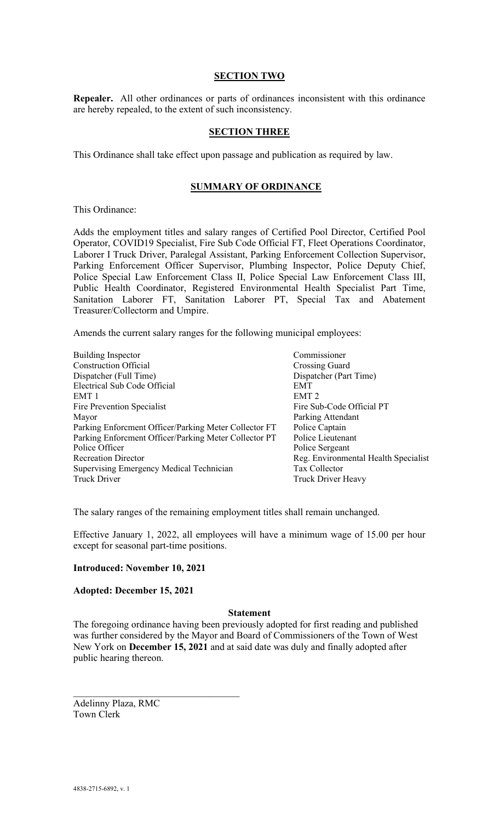### **SECTION TWO**

**Repealer.** All other ordinances or parts of ordinances inconsistent with this ordinance are hereby repealed, to the extent of such inconsistency.

#### **SECTION THREE**

This Ordinance shall take effect upon passage and publication as required by law.

# **SUMMARY OF ORDINANCE**

This Ordinance:

Adds the employment titles and salary ranges of Certified Pool Director, Certified Pool Operator, COVID19 Specialist, Fire Sub Code Official FT, Fleet Operations Coordinator, Laborer I Truck Driver, Paralegal Assistant, Parking Enforcement Collection Supervisor, Parking Enforcement Officer Supervisor, Plumbing Inspector, Police Deputy Chief, Police Special Law Enforcement Class II, Police Special Law Enforcement Class III, Public Health Coordinator, Registered Environmental Health Specialist Part Time, Sanitation Laborer FT, Sanitation Laborer PT, Special Tax and Abatement Treasurer/Collectorm and Umpire.

Amends the current salary ranges for the following municipal employees:

| Commissioner                         |
|--------------------------------------|
| Crossing Guard                       |
| Dispatcher (Part Time)               |
|                                      |
|                                      |
| Fire Sub-Code Official PT            |
| Parking Attendant                    |
| Police Captain                       |
| Police Lieutenant                    |
| Police Sergeant                      |
| Reg. Environmental Health Specialist |
| Tax Collector                        |
| <b>Truck Driver Heavy</b>            |
|                                      |

The salary ranges of the remaining employment titles shall remain unchanged.

Effective January 1, 2022, all employees will have a minimum wage of 15.00 per hour except for seasonal part-time positions.

#### **Introduced: November 10, 2021**

#### **Adopted: December 15, 2021**

#### **Statement**

The foregoing ordinance having been previously adopted for first reading and published was further considered by the Mayor and Board of Commissioners of the Town of West New York on **December 15, 2021** and at said date was duly and finally adopted after public hearing thereon.

Adelinny Plaza, RMC Town Clerk